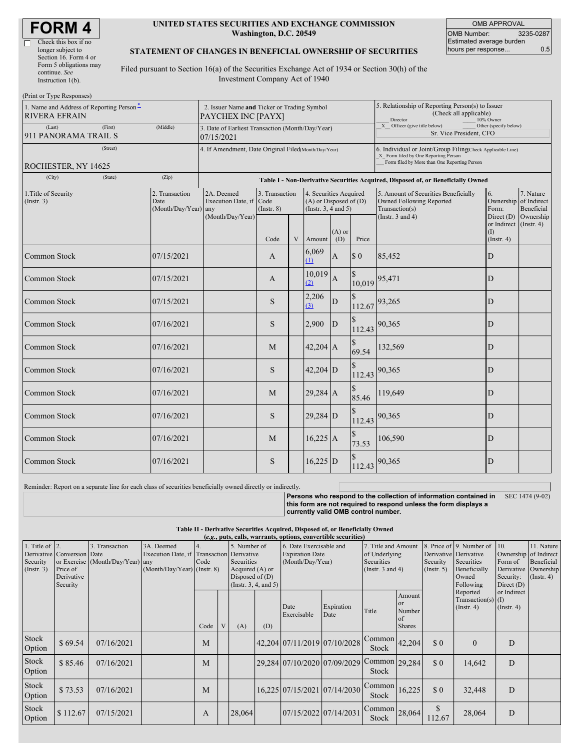#### **UNITED STATES SECURITIES AND EXCHANGE COMMISSION Washington, D.C. 20549**

OMB APPROVAL OMB Number: 3235-0287 Estimated average burden hours per response... 0.5

#### **STATEMENT OF CHANGES IN BENEFICIAL OWNERSHIP OF SECURITIES**

Filed pursuant to Section 16(a) of the Securities Exchange Act of 1934 or Section 30(h) of the Investment Company Act of 1940

| (Print or Type Responses)                                        |                                                                   |                                                |                                                                                  |                                           |   |                                                                                                     |                                                                                                                                                    |                                                                                  |                                                                                    |                                                              |                         |  |
|------------------------------------------------------------------|-------------------------------------------------------------------|------------------------------------------------|----------------------------------------------------------------------------------|-------------------------------------------|---|-----------------------------------------------------------------------------------------------------|----------------------------------------------------------------------------------------------------------------------------------------------------|----------------------------------------------------------------------------------|------------------------------------------------------------------------------------|--------------------------------------------------------------|-------------------------|--|
| 1. Name and Address of Reporting Person*<br><b>RIVERA EFRAIN</b> | 2. Issuer Name and Ticker or Trading Symbol<br>PAYCHEX INC [PAYX] |                                                |                                                                                  |                                           |   | 5. Relationship of Reporting Person(s) to Issuer<br>(Check all applicable)<br>Director<br>10% Owner |                                                                                                                                                    |                                                                                  |                                                                                    |                                                              |                         |  |
| (Last)<br>(First)<br>(Middle)<br>911 PANORAMA TRAIL S            |                                                                   |                                                | 3. Date of Earliest Transaction (Month/Day/Year)<br>07/15/2021                   |                                           |   |                                                                                                     |                                                                                                                                                    | X Officer (give title below)<br>Other (specify below)<br>Sr. Vice President, CFO |                                                                                    |                                                              |                         |  |
|                                                                  | 4. If Amendment, Date Original Filed(Month/Day/Year)              |                                                |                                                                                  |                                           |   |                                                                                                     | 6. Individual or Joint/Group Filing Check Applicable Line)<br>X Form filed by One Reporting Person<br>Form filed by More than One Reporting Person |                                                                                  |                                                                                    |                                                              |                         |  |
| ROCHESTER, NY 14625<br>(City)                                    | (State)                                                           | (Zip)                                          |                                                                                  |                                           |   |                                                                                                     |                                                                                                                                                    |                                                                                  |                                                                                    |                                                              |                         |  |
|                                                                  |                                                                   |                                                | Table I - Non-Derivative Securities Acquired, Disposed of, or Beneficially Owned |                                           |   |                                                                                                     |                                                                                                                                                    |                                                                                  |                                                                                    |                                                              |                         |  |
| 1. Title of Security<br>$($ Instr. 3 $)$                         |                                                                   | 2. Transaction<br>Date<br>(Month/Day/Year) any | 2A. Deemed<br>Execution Date, if                                                 | 3. Transaction<br>Code<br>$($ Instr. $8)$ |   | 4. Securities Acquired<br>$(A)$ or Disposed of $(D)$<br>(Instr. $3, 4$ and $5$ )                    |                                                                                                                                                    |                                                                                  | 5. Amount of Securities Beneficially<br>Owned Following Reported<br>Transaction(s) | 6.<br>Ownership of Indirect<br>Form:                         | 7. Nature<br>Beneficial |  |
|                                                                  |                                                                   |                                                | (Month/Day/Year)                                                                 | Code                                      | V | Amount                                                                                              | $(A)$ or<br>(D)                                                                                                                                    | Price                                                                            | (Instr. $3$ and $4$ )                                                              | Direct $(D)$<br>or Indirect (Instr. 4)<br>(1)<br>(Insert. 4) | Ownership               |  |
| Common Stock                                                     |                                                                   | 07/15/2021                                     |                                                                                  | A                                         |   | 6,069<br>(1)                                                                                        | $\mathbf{A}$                                                                                                                                       | $\boldsymbol{\mathsf{S}}$ 0                                                      | 85,452                                                                             | D                                                            |                         |  |
| Common Stock                                                     |                                                                   | 07/15/2021                                     |                                                                                  | A                                         |   | 10,019<br>(2)                                                                                       | $\mathbf{A}$                                                                                                                                       |                                                                                  | $10,019$ 95,471                                                                    | D                                                            |                         |  |
| <b>Common Stock</b>                                              |                                                                   | 07/15/2021                                     |                                                                                  | <sub>S</sub>                              |   | 2,206<br>(3)                                                                                        | ${\bf D}$                                                                                                                                          |                                                                                  | $112.67$ <sup>93,265</sup>                                                         | D                                                            |                         |  |
| Common Stock                                                     |                                                                   | 07/16/2021                                     |                                                                                  | S.                                        |   | 2,900                                                                                               | $\overline{D}$                                                                                                                                     | 112.43                                                                           | 90,365                                                                             | $\mathbf D$                                                  |                         |  |
| Common Stock                                                     |                                                                   | 07/16/2021                                     |                                                                                  | M                                         |   | $42,204$ A                                                                                          |                                                                                                                                                    | 69.54                                                                            | 132,569                                                                            | D                                                            |                         |  |
| Common Stock                                                     |                                                                   | 07/16/2021                                     |                                                                                  | <sub>S</sub>                              |   | $42,204$ D                                                                                          |                                                                                                                                                    | 112.43                                                                           | 90,365                                                                             | D                                                            |                         |  |
| Common Stock                                                     |                                                                   | 07/16/2021                                     |                                                                                  | M                                         |   | $29,284$ A                                                                                          |                                                                                                                                                    | 85.46                                                                            | 119,649                                                                            | D                                                            |                         |  |
| Common Stock                                                     |                                                                   | 07/16/2021                                     |                                                                                  | <sub>S</sub>                              |   | $29,284$ D                                                                                          |                                                                                                                                                    | 112.43                                                                           | 90,365                                                                             | D                                                            |                         |  |
| Common Stock                                                     |                                                                   | 07/16/2021                                     |                                                                                  | M                                         |   | $16,225$ A                                                                                          |                                                                                                                                                    | 73.53                                                                            | 106,590                                                                            | D                                                            |                         |  |
| Common Stock                                                     |                                                                   | 07/16/2021                                     |                                                                                  | <sub>S</sub>                              |   | $16,225$ D                                                                                          |                                                                                                                                                    | 112.43                                                                           | 90,365                                                                             | D                                                            |                         |  |

Reminder: Report on a separate line for each class of securities beneficially owned directly or indirectly.

**Persons who respond to the collection of information contained in** SEC 1474 (9-02) **this form are not required to respond unless the form displays a currently valid OMB control number.**

| Table II - Derivative Securities Acquired, Disposed of, or Beneficially Owned |  |  |  |  |                                                                                                           |  |
|-------------------------------------------------------------------------------|--|--|--|--|-----------------------------------------------------------------------------------------------------------|--|
|                                                                               |  |  |  |  | $(a \sim \text{mets} \text{ cells} \text{ wavenumber} \text{ on the same nontrivial} \text{ is a count.}$ |  |

| $(c, \zeta, \mu\omega, \alpha\omega)$ wallams, options, convertible securities |                            |                                  |                                                         |      |   |                      |     |                                                   |                              |                                      |                                         |                         |                                                   |                  |                                     |
|--------------------------------------------------------------------------------|----------------------------|----------------------------------|---------------------------------------------------------|------|---|----------------------|-----|---------------------------------------------------|------------------------------|--------------------------------------|-----------------------------------------|-------------------------|---------------------------------------------------|------------------|-------------------------------------|
| 1. Title of $ 2$ .                                                             | Derivative Conversion Date | 3. Transaction                   | 3A. Deemed<br>Execution Date, if Transaction Derivative |      |   | 5. Number of         |     | 6. Date Exercisable and<br><b>Expiration Date</b> |                              | 7. Title and Amount<br>of Underlying |                                         |                         | 8. Price of 9. Number of<br>Derivative Derivative | 10.              | 11. Nature<br>Ownership of Indirect |
| Security                                                                       |                            | or Exercise (Month/Day/Year) any |                                                         | Code |   | Securities           |     |                                                   | (Month/Day/Year)             |                                      | Securities                              |                         | Securities                                        | Form of          | Beneficial                          |
| (Insert. 3)                                                                    | Price of                   |                                  | (Month/Day/Year) (Instr. 8)                             |      |   | Acquired (A) or      |     |                                                   |                              | (Instr. $3$ and $4$ )                |                                         | Security<br>(Insert. 5) | Beneficially                                      | Derivative       | Ownership                           |
|                                                                                | Derivative                 |                                  |                                                         |      |   | Disposed of $(D)$    |     |                                                   |                              |                                      |                                         |                         | Owned                                             | Security:        | $($ Instr. 4 $)$                    |
|                                                                                | Security                   |                                  |                                                         |      |   | (Instr. 3, 4, and 5) |     |                                                   |                              |                                      |                                         |                         | Following                                         | Direct $(D)$     |                                     |
|                                                                                |                            |                                  |                                                         |      |   |                      |     |                                                   |                              |                                      |                                         |                         | Reported                                          | or Indirect      |                                     |
|                                                                                |                            |                                  |                                                         |      |   |                      |     | Date<br>Exercisable                               | Expiration<br>Date           | Title                                | Amount<br><sub>or</sub><br>Number<br>of |                         | Transaction(s) $(I)$<br>$($ Instr. 4 $)$          | $($ Instr. 4 $)$ |                                     |
|                                                                                |                            |                                  |                                                         | Code | V | (A)                  | (D) |                                                   |                              |                                      | <b>Shares</b>                           |                         |                                                   |                  |                                     |
| Stock<br>Option                                                                | \$69.54                    | 07/16/2021                       |                                                         | M    |   |                      |     |                                                   | 42,204 07/11/2019 07/10/2028 | Common<br><b>Stock</b>               | 42,204                                  | \$0                     | $\Omega$                                          | D                |                                     |
| Stock<br>Option                                                                | \$85.46                    | 07/16/2021                       |                                                         | M    |   |                      |     |                                                   | 29,284 07/10/2020 07/09/2029 | Common $29,284$<br><b>Stock</b>      |                                         | \$0                     | 14,642                                            | D                |                                     |
| Stock<br>Option                                                                | \$73.53                    | 07/16/2021                       |                                                         | M    |   |                      |     |                                                   | 16,225 07/15/2021 07/14/2030 | Common<br><b>Stock</b>               | 16,225                                  | \$0                     | 32,448                                            | D                |                                     |
| <b>Stock</b><br>Option                                                         | \$112.67                   | 07/15/2021                       |                                                         | A    |   | 28,064               |     | 07/15/2022 07/14/2031                             |                              | Common<br>Stock                      | 28,064                                  | <sup>\$</sup><br>112.67 | 28,064                                            | D                |                                     |